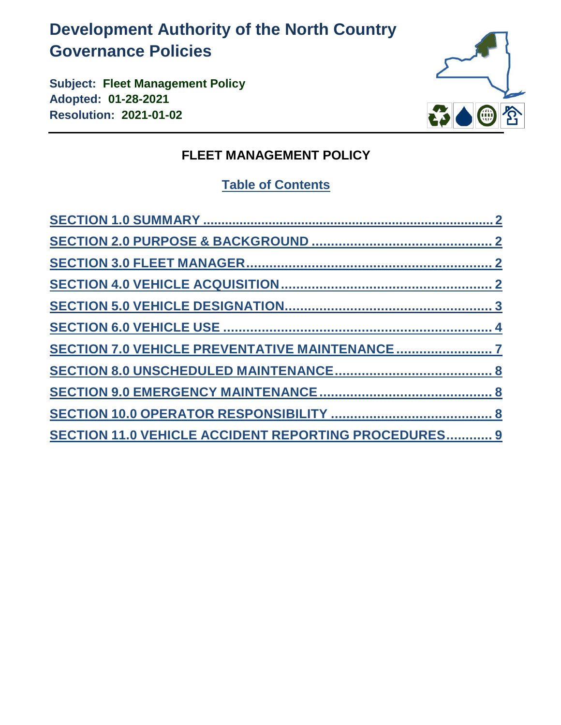# **Development Authority of the North Country Governance Policies**

**Subject: Fleet Management Policy Adopted: 01-28-2021 Resolution: 2021-01-02**



## **FLEET MANAGEMENT POLICY**

## **Table of Contents**

| <b>SECTION 11.0 VEHICLE ACCIDENT REPORTING PROCEDURES 9</b> |
|-------------------------------------------------------------|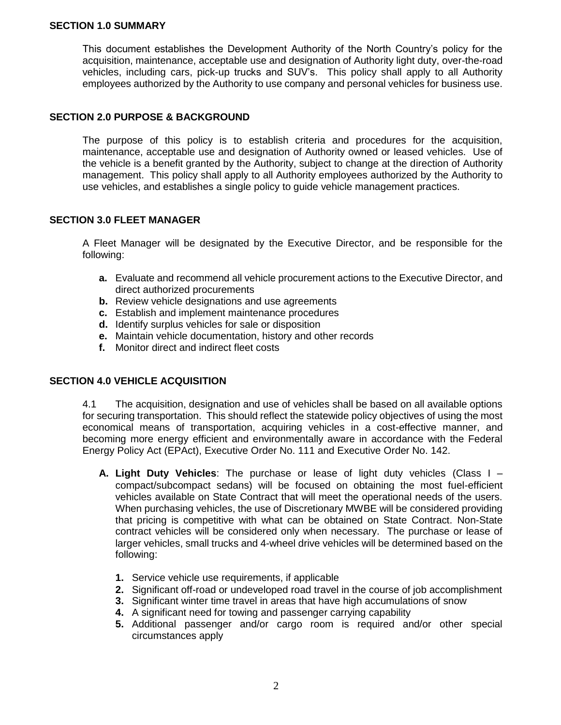#### <span id="page-1-0"></span>**SECTION 1.0 SUMMARY**

This document establishes the Development Authority of the North Country's policy for the acquisition, maintenance, acceptable use and designation of Authority light duty, over-the-road vehicles, including cars, pick-up trucks and SUV's. This policy shall apply to all Authority employees authorized by the Authority to use company and personal vehicles for business use.

#### <span id="page-1-1"></span>**SECTION 2.0 PURPOSE & BACKGROUND**

The purpose of this policy is to establish criteria and procedures for the acquisition, maintenance, acceptable use and designation of Authority owned or leased vehicles. Use of the vehicle is a benefit granted by the Authority, subject to change at the direction of Authority management. This policy shall apply to all Authority employees authorized by the Authority to use vehicles, and establishes a single policy to guide vehicle management practices.

#### <span id="page-1-2"></span>**SECTION 3.0 FLEET MANAGER**

A Fleet Manager will be designated by the Executive Director, and be responsible for the following:

- **a.** Evaluate and recommend all vehicle procurement actions to the Executive Director, and direct authorized procurements
- **b.** Review vehicle designations and use agreements
- **c.** Establish and implement maintenance procedures
- **d.** Identify surplus vehicles for sale or disposition
- **e.** Maintain vehicle documentation, history and other records
- **f.** Monitor direct and indirect fleet costs

## <span id="page-1-3"></span>**SECTION 4.0 VEHICLE ACQUISITION**

4.1 The acquisition, designation and use of vehicles shall be based on all available options for securing transportation. This should reflect the statewide policy objectives of using the most economical means of transportation, acquiring vehicles in a cost-effective manner, and becoming more energy efficient and environmentally aware in accordance with the Federal Energy Policy Act (EPAct), Executive Order No. 111 and Executive Order No. 142.

- **A. Light Duty Vehicles**: The purchase or lease of light duty vehicles (Class I compact/subcompact sedans) will be focused on obtaining the most fuel-efficient vehicles available on State Contract that will meet the operational needs of the users. When purchasing vehicles, the use of Discretionary MWBE will be considered providing that pricing is competitive with what can be obtained on State Contract. Non-State contract vehicles will be considered only when necessary. The purchase or lease of larger vehicles, small trucks and 4-wheel drive vehicles will be determined based on the following:
	- **1.** Service vehicle use requirements, if applicable
	- **2.** Significant off-road or undeveloped road travel in the course of job accomplishment
	- **3.** Significant winter time travel in areas that have high accumulations of snow
	- **4.** A significant need for towing and passenger carrying capability
	- **5.** Additional passenger and/or cargo room is required and/or other special circumstances apply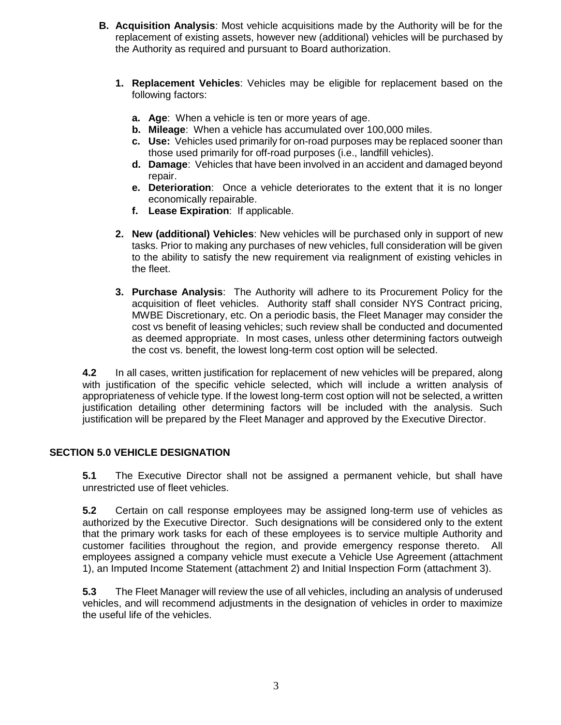- **B. Acquisition Analysis**: Most vehicle acquisitions made by the Authority will be for the replacement of existing assets, however new (additional) vehicles will be purchased by the Authority as required and pursuant to Board authorization.
	- **1. Replacement Vehicles**: Vehicles may be eligible for replacement based on the following factors:
		- **a. Age**: When a vehicle is ten or more years of age.
		- **b. Mileage**: When a vehicle has accumulated over 100,000 miles.
		- **c. Use:** Vehicles used primarily for on-road purposes may be replaced sooner than those used primarily for off-road purposes (i.e., landfill vehicles).
		- **d. Damage**: Vehicles that have been involved in an accident and damaged beyond repair.
		- **e. Deterioration**: Once a vehicle deteriorates to the extent that it is no longer economically repairable.
		- **f. Lease Expiration**: If applicable.
	- **2. New (additional) Vehicles**: New vehicles will be purchased only in support of new tasks. Prior to making any purchases of new vehicles, full consideration will be given to the ability to satisfy the new requirement via realignment of existing vehicles in the fleet.
	- **3. Purchase Analysis**: The Authority will adhere to its Procurement Policy for the acquisition of fleet vehicles. Authority staff shall consider NYS Contract pricing, MWBE Discretionary, etc. On a periodic basis, the Fleet Manager may consider the cost vs benefit of leasing vehicles; such review shall be conducted and documented as deemed appropriate. In most cases, unless other determining factors outweigh the cost vs. benefit, the lowest long-term cost option will be selected.

**4.2** In all cases, written justification for replacement of new vehicles will be prepared, along with justification of the specific vehicle selected, which will include a written analysis of appropriateness of vehicle type. If the lowest long-term cost option will not be selected, a written justification detailing other determining factors will be included with the analysis. Such justification will be prepared by the Fleet Manager and approved by the Executive Director.

## <span id="page-2-0"></span>**SECTION 5.0 VEHICLE DESIGNATION**

**5.1** The Executive Director shall not be assigned a permanent vehicle, but shall have unrestricted use of fleet vehicles.

**5.2** Certain on call response employees may be assigned long-term use of vehicles as authorized by the Executive Director. Such designations will be considered only to the extent that the primary work tasks for each of these employees is to service multiple Authority and customer facilities throughout the region, and provide emergency response thereto. All employees assigned a company vehicle must execute a Vehicle Use Agreement (attachment 1), an Imputed Income Statement (attachment 2) and Initial Inspection Form (attachment 3).

**5.3** The Fleet Manager will review the use of all vehicles, including an analysis of underused vehicles, and will recommend adjustments in the designation of vehicles in order to maximize the useful life of the vehicles.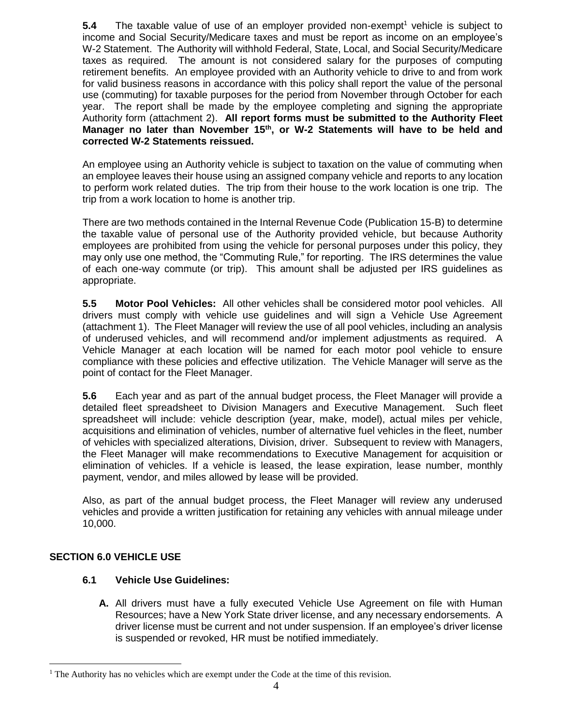**5.4** The taxable value of use of an employer provided non-exempt<sup>1</sup> vehicle is subject to income and Social Security/Medicare taxes and must be report as income on an employee's W-2 Statement. The Authority will withhold Federal, State, Local, and Social Security/Medicare taxes as required. The amount is not considered salary for the purposes of computing retirement benefits. An employee provided with an Authority vehicle to drive to and from work for valid business reasons in accordance with this policy shall report the value of the personal use (commuting) for taxable purposes for the period from November through October for each year. The report shall be made by the employee completing and signing the appropriate Authority form (attachment 2). **All report forms must be submitted to the Authority Fleet Manager no later than November 15th, or W-2 Statements will have to be held and corrected W-2 Statements reissued.**

An employee using an Authority vehicle is subject to taxation on the value of commuting when an employee leaves their house using an assigned company vehicle and reports to any location to perform work related duties. The trip from their house to the work location is one trip. The trip from a work location to home is another trip.

There are two methods contained in the Internal Revenue Code (Publication 15-B) to determine the taxable value of personal use of the Authority provided vehicle, but because Authority employees are prohibited from using the vehicle for personal purposes under this policy, they may only use one method, the "Commuting Rule," for reporting. The IRS determines the value of each one-way commute (or trip). This amount shall be adjusted per IRS guidelines as appropriate.

**5.5 Motor Pool Vehicles:** All other vehicles shall be considered motor pool vehicles. All drivers must comply with vehicle use guidelines and will sign a Vehicle Use Agreement (attachment 1). The Fleet Manager will review the use of all pool vehicles, including an analysis of underused vehicles, and will recommend and/or implement adjustments as required. A Vehicle Manager at each location will be named for each motor pool vehicle to ensure compliance with these policies and effective utilization. The Vehicle Manager will serve as the point of contact for the Fleet Manager.

**5.6** Each year and as part of the annual budget process, the Fleet Manager will provide a detailed fleet spreadsheet to Division Managers and Executive Management. Such fleet spreadsheet will include: vehicle description (year, make, model), actual miles per vehicle, acquisitions and elimination of vehicles, number of alternative fuel vehicles in the fleet, number of vehicles with specialized alterations, Division, driver. Subsequent to review with Managers, the Fleet Manager will make recommendations to Executive Management for acquisition or elimination of vehicles. If a vehicle is leased, the lease expiration, lease number, monthly payment, vendor, and miles allowed by lease will be provided.

Also, as part of the annual budget process, the Fleet Manager will review any underused vehicles and provide a written justification for retaining any vehicles with annual mileage under 10,000.

## <span id="page-3-0"></span>**SECTION 6.0 VEHICLE USE**

 $\overline{a}$ 

## **6.1 Vehicle Use Guidelines:**

**A.** All drivers must have a fully executed Vehicle Use Agreement on file with Human Resources; have a New York State driver license, and any necessary endorsements. A driver license must be current and not under suspension. If an employee's driver license is suspended or revoked, HR must be notified immediately.

The Authority has no vehicles which are exempt under the Code at the time of this revision.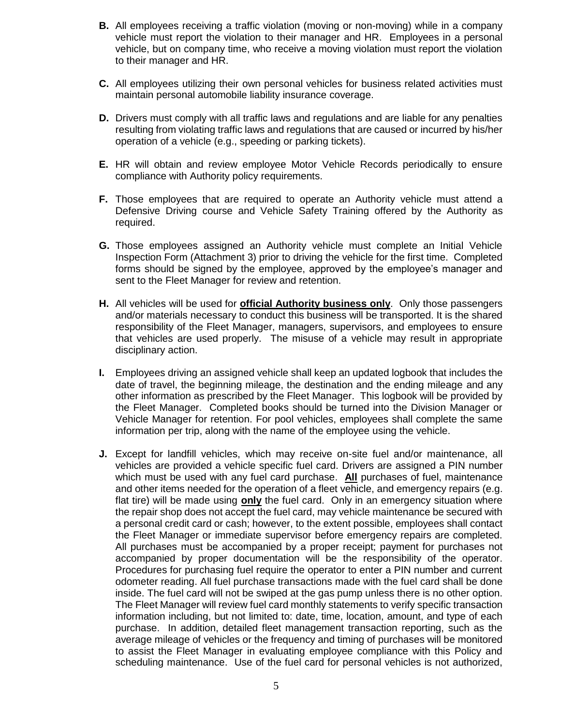- **B.** All employees receiving a traffic violation (moving or non-moving) while in a company vehicle must report the violation to their manager and HR. Employees in a personal vehicle, but on company time, who receive a moving violation must report the violation to their manager and HR.
- **C.** All employees utilizing their own personal vehicles for business related activities must maintain personal automobile liability insurance coverage.
- **D.** Drivers must comply with all traffic laws and regulations and are liable for any penalties resulting from violating traffic laws and regulations that are caused or incurred by his/her operation of a vehicle (e.g., speeding or parking tickets).
- **E.** HR will obtain and review employee Motor Vehicle Records periodically to ensure compliance with Authority policy requirements.
- **F.** Those employees that are required to operate an Authority vehicle must attend a Defensive Driving course and Vehicle Safety Training offered by the Authority as required.
- **G.** Those employees assigned an Authority vehicle must complete an Initial Vehicle Inspection Form (Attachment 3) prior to driving the vehicle for the first time. Completed forms should be signed by the employee, approved by the employee's manager and sent to the Fleet Manager for review and retention.
- **H.** All vehicles will be used for **official Authority business only**. Only those passengers and/or materials necessary to conduct this business will be transported. It is the shared responsibility of the Fleet Manager, managers, supervisors, and employees to ensure that vehicles are used properly. The misuse of a vehicle may result in appropriate disciplinary action.
- **I.** Employees driving an assigned vehicle shall keep an updated logbook that includes the date of travel, the beginning mileage, the destination and the ending mileage and any other information as prescribed by the Fleet Manager. This logbook will be provided by the Fleet Manager. Completed books should be turned into the Division Manager or Vehicle Manager for retention. For pool vehicles, employees shall complete the same information per trip, along with the name of the employee using the vehicle.
- **J.** Except for landfill vehicles, which may receive on-site fuel and/or maintenance, all vehicles are provided a vehicle specific fuel card. Drivers are assigned a PIN number which must be used with any fuel card purchase. **All** purchases of fuel, maintenance and other items needed for the operation of a fleet vehicle, and emergency repairs (e.g. flat tire) will be made using **only** the fuel card. Only in an emergency situation where the repair shop does not accept the fuel card, may vehicle maintenance be secured with a personal credit card or cash; however, to the extent possible, employees shall contact the Fleet Manager or immediate supervisor before emergency repairs are completed. All purchases must be accompanied by a proper receipt; payment for purchases not accompanied by proper documentation will be the responsibility of the operator. Procedures for purchasing fuel require the operator to enter a PIN number and current odometer reading. All fuel purchase transactions made with the fuel card shall be done inside. The fuel card will not be swiped at the gas pump unless there is no other option. The Fleet Manager will review fuel card monthly statements to verify specific transaction information including, but not limited to: date, time, location, amount, and type of each purchase. In addition, detailed fleet management transaction reporting, such as the average mileage of vehicles or the frequency and timing of purchases will be monitored to assist the Fleet Manager in evaluating employee compliance with this Policy and scheduling maintenance. Use of the fuel card for personal vehicles is not authorized,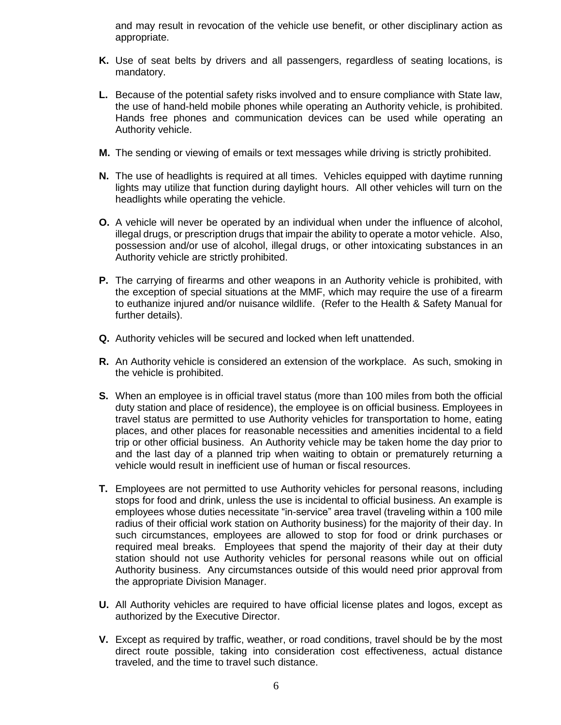and may result in revocation of the vehicle use benefit, or other disciplinary action as appropriate.

- **K.** Use of seat belts by drivers and all passengers, regardless of seating locations, is mandatory.
- **L.** Because of the potential safety risks involved and to ensure compliance with State law, the use of hand-held mobile phones while operating an Authority vehicle, is prohibited. Hands free phones and communication devices can be used while operating an Authority vehicle.
- **M.** The sending or viewing of emails or text messages while driving is strictly prohibited.
- **N.** The use of headlights is required at all times. Vehicles equipped with daytime running lights may utilize that function during daylight hours. All other vehicles will turn on the headlights while operating the vehicle.
- **O.** A vehicle will never be operated by an individual when under the influence of alcohol, illegal drugs, or prescription drugs that impair the ability to operate a motor vehicle. Also, possession and/or use of alcohol, illegal drugs, or other intoxicating substances in an Authority vehicle are strictly prohibited.
- **P.** The carrying of firearms and other weapons in an Authority vehicle is prohibited, with the exception of special situations at the MMF, which may require the use of a firearm to euthanize injured and/or nuisance wildlife. (Refer to the Health & Safety Manual for further details).
- **Q.** Authority vehicles will be secured and locked when left unattended.
- **R.** An Authority vehicle is considered an extension of the workplace. As such, smoking in the vehicle is prohibited.
- **S.** When an employee is in official travel status (more than 100 miles from both the official duty station and place of residence), the employee is on official business. Employees in travel status are permitted to use Authority vehicles for transportation to home, eating places, and other places for reasonable necessities and amenities incidental to a field trip or other official business. An Authority vehicle may be taken home the day prior to and the last day of a planned trip when waiting to obtain or prematurely returning a vehicle would result in inefficient use of human or fiscal resources.
- **T.** Employees are not permitted to use Authority vehicles for personal reasons, including stops for food and drink, unless the use is incidental to official business. An example is employees whose duties necessitate "in-service" area travel (traveling within a 100 mile radius of their official work station on Authority business) for the majority of their day. In such circumstances, employees are allowed to stop for food or drink purchases or required meal breaks. Employees that spend the majority of their day at their duty station should not use Authority vehicles for personal reasons while out on official Authority business. Any circumstances outside of this would need prior approval from the appropriate Division Manager.
- **U.** All Authority vehicles are required to have official license plates and logos, except as authorized by the Executive Director.
- **V.** Except as required by traffic, weather, or road conditions, travel should be by the most direct route possible, taking into consideration cost effectiveness, actual distance traveled, and the time to travel such distance.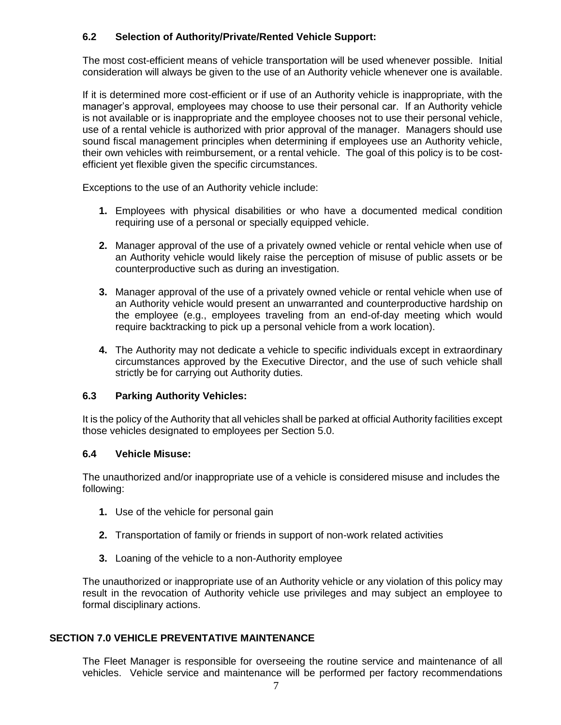## **6.2 Selection of Authority/Private/Rented Vehicle Support:**

The most cost-efficient means of vehicle transportation will be used whenever possible. Initial consideration will always be given to the use of an Authority vehicle whenever one is available.

If it is determined more cost-efficient or if use of an Authority vehicle is inappropriate, with the manager's approval, employees may choose to use their personal car. If an Authority vehicle is not available or is inappropriate and the employee chooses not to use their personal vehicle, use of a rental vehicle is authorized with prior approval of the manager. Managers should use sound fiscal management principles when determining if employees use an Authority vehicle, their own vehicles with reimbursement, or a rental vehicle. The goal of this policy is to be costefficient yet flexible given the specific circumstances.

Exceptions to the use of an Authority vehicle include:

- **1.** Employees with physical disabilities or who have a documented medical condition requiring use of a personal or specially equipped vehicle.
- **2.** Manager approval of the use of a privately owned vehicle or rental vehicle when use of an Authority vehicle would likely raise the perception of misuse of public assets or be counterproductive such as during an investigation.
- **3.** Manager approval of the use of a privately owned vehicle or rental vehicle when use of an Authority vehicle would present an unwarranted and counterproductive hardship on the employee (e.g., employees traveling from an end-of-day meeting which would require backtracking to pick up a personal vehicle from a work location).
- **4.** The Authority may not dedicate a vehicle to specific individuals except in extraordinary circumstances approved by the Executive Director, and the use of such vehicle shall strictly be for carrying out Authority duties.

## **6.3 Parking Authority Vehicles:**

It is the policy of the Authority that all vehicles shall be parked at official Authority facilities except those vehicles designated to employees per Section 5.0.

## **6.4 Vehicle Misuse:**

The unauthorized and/or inappropriate use of a vehicle is considered misuse and includes the following:

- **1.** Use of the vehicle for personal gain
- **2.** Transportation of family or friends in support of non-work related activities
- **3.** Loaning of the vehicle to a non-Authority employee

The unauthorized or inappropriate use of an Authority vehicle or any violation of this policy may result in the revocation of Authority vehicle use privileges and may subject an employee to formal disciplinary actions.

## <span id="page-6-0"></span>**SECTION 7.0 VEHICLE PREVENTATIVE MAINTENANCE**

The Fleet Manager is responsible for overseeing the routine service and maintenance of all vehicles. Vehicle service and maintenance will be performed per factory recommendations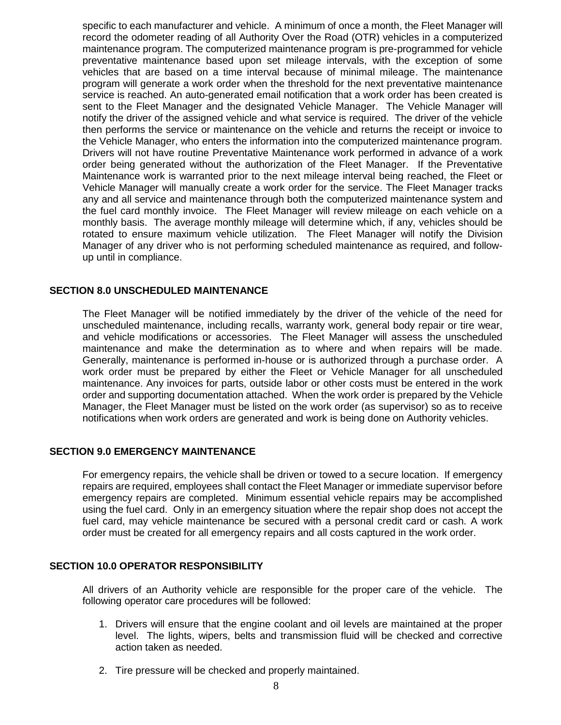specific to each manufacturer and vehicle. A minimum of once a month, the Fleet Manager will record the odometer reading of all Authority Over the Road (OTR) vehicles in a computerized maintenance program. The computerized maintenance program is pre-programmed for vehicle preventative maintenance based upon set mileage intervals, with the exception of some vehicles that are based on a time interval because of minimal mileage. The maintenance program will generate a work order when the threshold for the next preventative maintenance service is reached. An auto-generated email notification that a work order has been created is sent to the Fleet Manager and the designated Vehicle Manager. The Vehicle Manager will notify the driver of the assigned vehicle and what service is required. The driver of the vehicle then performs the service or maintenance on the vehicle and returns the receipt or invoice to the Vehicle Manager, who enters the information into the computerized maintenance program. Drivers will not have routine Preventative Maintenance work performed in advance of a work order being generated without the authorization of the Fleet Manager. If the Preventative Maintenance work is warranted prior to the next mileage interval being reached, the Fleet or Vehicle Manager will manually create a work order for the service. The Fleet Manager tracks any and all service and maintenance through both the computerized maintenance system and the fuel card monthly invoice. The Fleet Manager will review mileage on each vehicle on a monthly basis. The average monthly mileage will determine which, if any, vehicles should be rotated to ensure maximum vehicle utilization. The Fleet Manager will notify the Division Manager of any driver who is not performing scheduled maintenance as required, and followup until in compliance.

#### <span id="page-7-0"></span>**SECTION 8.0 UNSCHEDULED MAINTENANCE**

The Fleet Manager will be notified immediately by the driver of the vehicle of the need for unscheduled maintenance, including recalls, warranty work, general body repair or tire wear, and vehicle modifications or accessories. The Fleet Manager will assess the unscheduled maintenance and make the determination as to where and when repairs will be made. Generally, maintenance is performed in-house or is authorized through a purchase order. A work order must be prepared by either the Fleet or Vehicle Manager for all unscheduled maintenance. Any invoices for parts, outside labor or other costs must be entered in the work order and supporting documentation attached. When the work order is prepared by the Vehicle Manager, the Fleet Manager must be listed on the work order (as supervisor) so as to receive notifications when work orders are generated and work is being done on Authority vehicles.

#### <span id="page-7-1"></span>**SECTION 9.0 EMERGENCY MAINTENANCE**

For emergency repairs, the vehicle shall be driven or towed to a secure location. If emergency repairs are required, employees shall contact the Fleet Manager or immediate supervisor before emergency repairs are completed. Minimum essential vehicle repairs may be accomplished using the fuel card. Only in an emergency situation where the repair shop does not accept the fuel card, may vehicle maintenance be secured with a personal credit card or cash. A work order must be created for all emergency repairs and all costs captured in the work order.

#### <span id="page-7-2"></span>**SECTION 10.0 OPERATOR RESPONSIBILITY**

All drivers of an Authority vehicle are responsible for the proper care of the vehicle. The following operator care procedures will be followed:

- 1. Drivers will ensure that the engine coolant and oil levels are maintained at the proper level. The lights, wipers, belts and transmission fluid will be checked and corrective action taken as needed.
- 2. Tire pressure will be checked and properly maintained.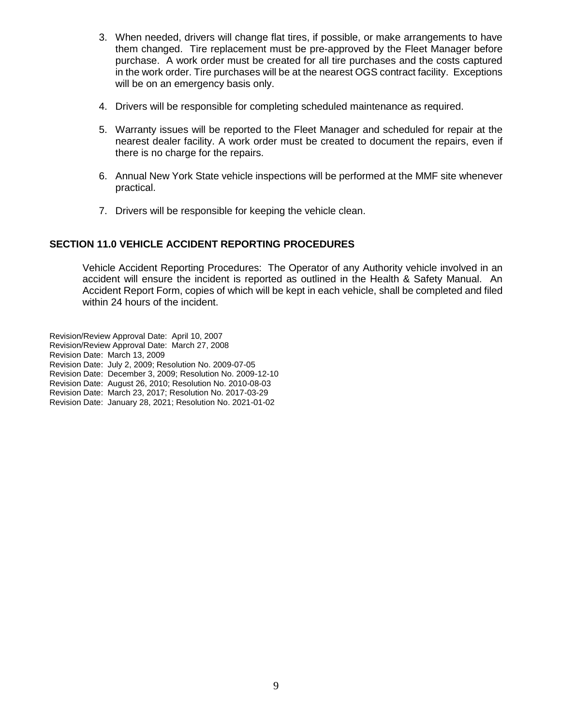- 3. When needed, drivers will change flat tires, if possible, or make arrangements to have them changed. Tire replacement must be pre-approved by the Fleet Manager before purchase. A work order must be created for all tire purchases and the costs captured in the work order. Tire purchases will be at the nearest OGS contract facility. Exceptions will be on an emergency basis only.
- 4. Drivers will be responsible for completing scheduled maintenance as required.
- 5. Warranty issues will be reported to the Fleet Manager and scheduled for repair at the nearest dealer facility. A work order must be created to document the repairs, even if there is no charge for the repairs.
- 6. Annual New York State vehicle inspections will be performed at the MMF site whenever practical.
- 7. Drivers will be responsible for keeping the vehicle clean.

## <span id="page-8-0"></span>**SECTION 11.0 VEHICLE ACCIDENT REPORTING PROCEDURES**

Vehicle Accident Reporting Procedures: The Operator of any Authority vehicle involved in an accident will ensure the incident is reported as outlined in the Health & Safety Manual. An Accident Report Form, copies of which will be kept in each vehicle, shall be completed and filed within 24 hours of the incident.

Revision/Review Approval Date: April 10, 2007 Revision/Review Approval Date: March 27, 2008 Revision Date: March 13, 2009 Revision Date: July 2, 2009; Resolution No. 2009-07-05 Revision Date: December 3, 2009; Resolution No. 2009-12-10 Revision Date: August 26, 2010; Resolution No. 2010-08-03 Revision Date: March 23, 2017; Resolution No. 2017-03-29 Revision Date: January 28, 2021; Resolution No. 2021-01-02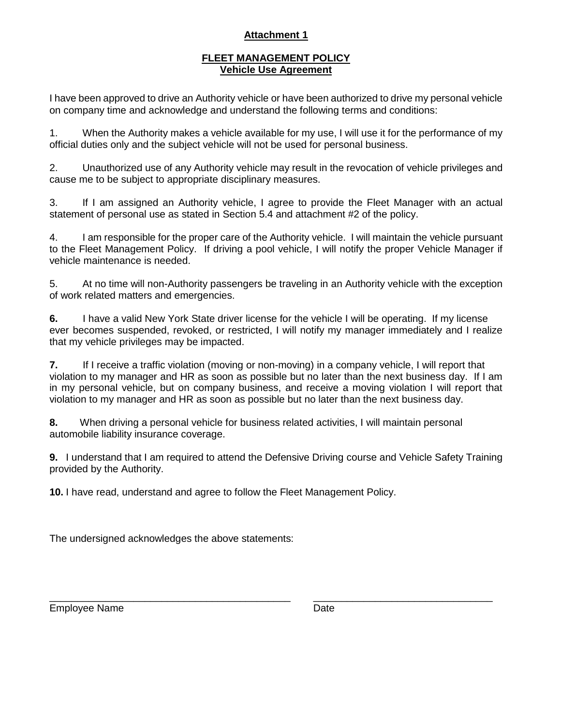## **Attachment 1**

## **FLEET MANAGEMENT POLICY Vehicle Use Agreement**

I have been approved to drive an Authority vehicle or have been authorized to drive my personal vehicle on company time and acknowledge and understand the following terms and conditions:

1. When the Authority makes a vehicle available for my use, I will use it for the performance of my official duties only and the subject vehicle will not be used for personal business.

2. Unauthorized use of any Authority vehicle may result in the revocation of vehicle privileges and cause me to be subject to appropriate disciplinary measures.

3. If I am assigned an Authority vehicle, I agree to provide the Fleet Manager with an actual statement of personal use as stated in Section 5.4 and attachment #2 of the policy.

4. I am responsible for the proper care of the Authority vehicle. I will maintain the vehicle pursuant to the Fleet Management Policy. If driving a pool vehicle, I will notify the proper Vehicle Manager if vehicle maintenance is needed.

5. At no time will non-Authority passengers be traveling in an Authority vehicle with the exception of work related matters and emergencies.

**6.** I have a valid New York State driver license for the vehicle I will be operating. If my license ever becomes suspended, revoked, or restricted, I will notify my manager immediately and I realize that my vehicle privileges may be impacted.

**7.** If I receive a traffic violation (moving or non-moving) in a company vehicle, I will report that violation to my manager and HR as soon as possible but no later than the next business day. If I am in my personal vehicle, but on company business, and receive a moving violation I will report that violation to my manager and HR as soon as possible but no later than the next business day.

**8.** When driving a personal vehicle for business related activities, I will maintain personal automobile liability insurance coverage.

**9.** I understand that I am required to attend the Defensive Driving course and Vehicle Safety Training provided by the Authority.

**10.** I have read, understand and agree to follow the Fleet Management Policy.

The undersigned acknowledges the above statements:

Employee Name **Date** Date **Date** 

\_\_\_\_\_\_\_\_\_\_\_\_\_\_\_\_\_\_\_\_\_\_\_\_\_\_\_\_\_\_\_\_\_\_\_\_\_\_\_\_\_\_\_ \_\_\_\_\_\_\_\_\_\_\_\_\_\_\_\_\_\_\_\_\_\_\_\_\_\_\_\_\_\_\_\_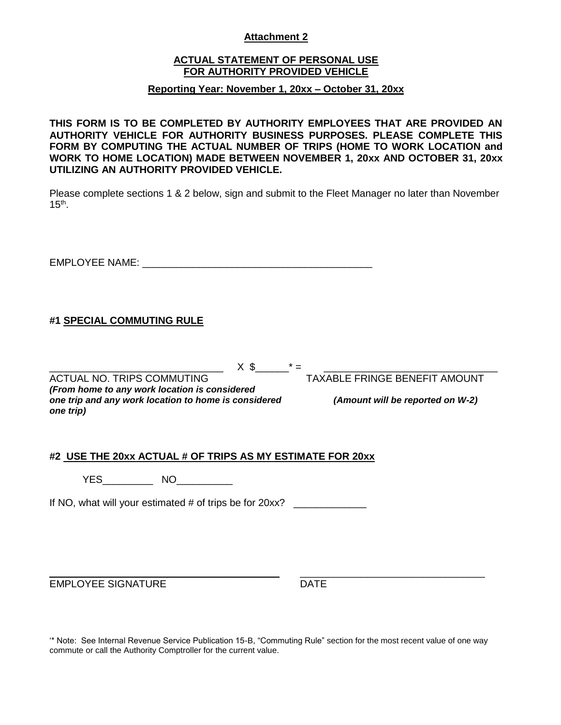## **Attachment 2**

## **ACTUAL STATEMENT OF PERSONAL USE FOR AUTHORITY PROVIDED VEHICLE**

## **Reporting Year: November 1, 20xx – October 31, 20xx**

**THIS FORM IS TO BE COMPLETED BY AUTHORITY EMPLOYEES THAT ARE PROVIDED AN AUTHORITY VEHICLE FOR AUTHORITY BUSINESS PURPOSES. PLEASE COMPLETE THIS FORM BY COMPUTING THE ACTUAL NUMBER OF TRIPS (HOME TO WORK LOCATION and WORK TO HOME LOCATION) MADE BETWEEN NOVEMBER 1, 20xx AND OCTOBER 31, 20xx UTILIZING AN AUTHORITY PROVIDED VEHICLE.**

Please complete sections 1 & 2 below, sign and submit to the Fleet Manager no later than November  $15<sup>th</sup>$ .

EMPLOYEE NAME:  $\blacksquare$ 

## **#1 SPECIAL COMMUTING RULE**

 $X \$   $\frac{1}{2}$   $X \$   $\frac{1}{2}$   $Y \$   $\frac{1}{2}$   $Y \$   $\frac{1}{2}$   $Y \$   $\frac{1}{2}$   $Y \$   $\frac{1}{2}$   $Y \$   $\frac{1}{2}$   $Y \$   $\frac{1}{2}$   $Y \$   $\frac{1}{2}$   $Y \$   $\frac{1}{2}$   $Y \$   $\frac{1}{2}$   $Y \$   $\frac{1}{2}$   $Y \$   $\frac{1}{2}$   $Y \$   $\frac{1}{2}$   $Y \$   $\frac{1}{$ 

*(From home to any work location is considered one trip and any work location to home is considered (Amount will be reported on W-2) one trip)*

ACTUAL NO. TRIPS COMMUTING TAXABLE FRINGE BENEFIT AMOUNT

#### **#2 USE THE 20xx ACTUAL # OF TRIPS AS MY ESTIMATE FOR 20xx**

YES\_\_\_\_\_\_\_\_\_ NO\_\_\_\_\_\_\_\_\_\_

If NO, what will your estimated # of trips be for 20xx? \_\_\_\_\_\_\_\_\_\_\_\_\_\_\_\_\_\_\_\_\_\_\_\_

\_\_\_\_\_\_\_\_\_\_\_\_\_\_\_\_\_\_\_\_\_\_\_\_\_\_\_\_\_\_\_\_\_\_\_\_\_\_\_\_\_ \_\_\_\_\_\_\_\_\_\_\_\_\_\_\_\_\_\_\_\_\_\_\_\_\_\_\_\_\_\_\_\_\_ EMPLOYEE SIGNATURE DATE

'\* Note: See Internal Revenue Service Publication 15-B, "Commuting Rule" section for the most recent value of one way commute or call the Authority Comptroller for the current value.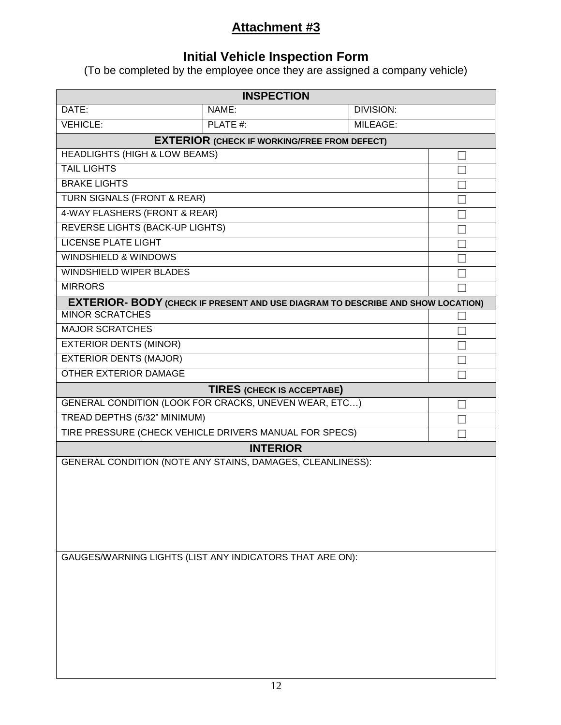## **Attachment #3**

## **Initial Vehicle Inspection Form**

(To be completed by the employee once they are assigned a company vehicle)

|                                                            | <b>INSPECTION</b>                                                                      |                  |  |  |
|------------------------------------------------------------|----------------------------------------------------------------------------------------|------------------|--|--|
| DATE:                                                      | NAME:                                                                                  | <b>DIVISION:</b> |  |  |
| <b>VEHICLE:</b>                                            | PLATE #:                                                                               | MILEAGE:         |  |  |
| <b>EXTERIOR (CHECK IF WORKING/FREE FROM DEFECT)</b>        |                                                                                        |                  |  |  |
| <b>HEADLIGHTS (HIGH &amp; LOW BEAMS)</b>                   |                                                                                        |                  |  |  |
| <b>TAIL LIGHTS</b>                                         |                                                                                        |                  |  |  |
| <b>BRAKE LIGHTS</b>                                        |                                                                                        |                  |  |  |
| TURN SIGNALS (FRONT & REAR)                                |                                                                                        |                  |  |  |
| 4-WAY FLASHERS (FRONT & REAR)                              |                                                                                        |                  |  |  |
| <b>REVERSE LIGHTS (BACK-UP LIGHTS)</b>                     |                                                                                        |                  |  |  |
| <b>LICENSE PLATE LIGHT</b>                                 |                                                                                        |                  |  |  |
| <b>WINDSHIELD &amp; WINDOWS</b>                            |                                                                                        |                  |  |  |
| <b>WINDSHIELD WIPER BLADES</b>                             |                                                                                        |                  |  |  |
| <b>MIRRORS</b>                                             |                                                                                        |                  |  |  |
|                                                            | <b>EXTERIOR- BODY (CHECK IF PRESENT AND USE DIAGRAM TO DESCRIBE AND SHOW LOCATION)</b> |                  |  |  |
| <b>MINOR SCRATCHES</b>                                     |                                                                                        |                  |  |  |
| <b>MAJOR SCRATCHES</b>                                     |                                                                                        |                  |  |  |
| <b>EXTERIOR DENTS (MINOR)</b>                              |                                                                                        |                  |  |  |
| <b>EXTERIOR DENTS (MAJOR)</b>                              |                                                                                        |                  |  |  |
| <b>OTHER EXTERIOR DAMAGE</b>                               |                                                                                        |                  |  |  |
|                                                            | <b>TIRES (CHECK IS ACCEPTABE)</b>                                                      |                  |  |  |
|                                                            | GENERAL CONDITION (LOOK FOR CRACKS, UNEVEN WEAR, ETC)                                  |                  |  |  |
| TREAD DEPTHS (5/32" MINIMUM)                               |                                                                                        |                  |  |  |
| TIRE PRESSURE (CHECK VEHICLE DRIVERS MANUAL FOR SPECS)     |                                                                                        |                  |  |  |
| <b>INTERIOR</b>                                            |                                                                                        |                  |  |  |
| GENERAL CONDITION (NOTE ANY STAINS, DAMAGES, CLEANLINESS): |                                                                                        |                  |  |  |
| GAUGES/WARNING LIGHTS (LIST ANY INDICATORS THAT ARE ON):   |                                                                                        |                  |  |  |
|                                                            |                                                                                        |                  |  |  |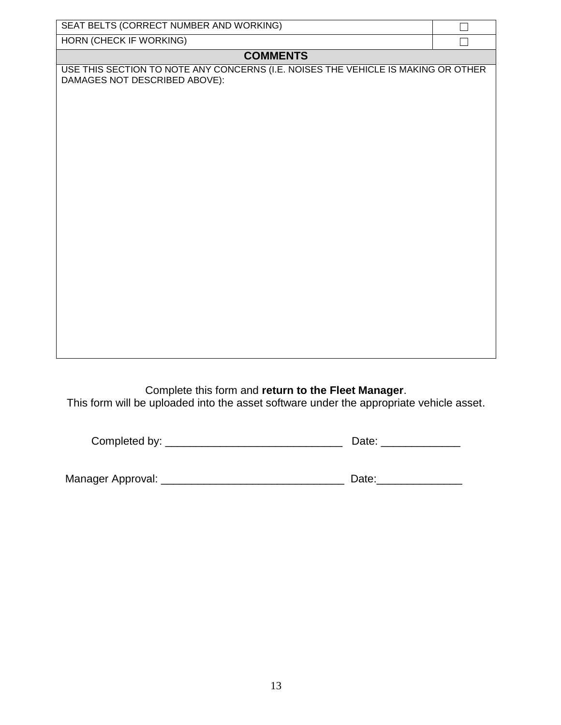| SEAT BELTS (CORRECT NUMBER AND WORKING)                                                                            |  |  |  |  |  |
|--------------------------------------------------------------------------------------------------------------------|--|--|--|--|--|
| <b>HORN (CHECK IF WORKING)</b>                                                                                     |  |  |  |  |  |
| <b>COMMENTS</b>                                                                                                    |  |  |  |  |  |
| USE THIS SECTION TO NOTE ANY CONCERNS (I.E. NOISES THE VEHICLE IS MAKING OR OTHER<br>DAMAGES NOT DESCRIBED ABOVE): |  |  |  |  |  |
|                                                                                                                    |  |  |  |  |  |
|                                                                                                                    |  |  |  |  |  |
|                                                                                                                    |  |  |  |  |  |
|                                                                                                                    |  |  |  |  |  |
|                                                                                                                    |  |  |  |  |  |
|                                                                                                                    |  |  |  |  |  |
|                                                                                                                    |  |  |  |  |  |
|                                                                                                                    |  |  |  |  |  |
|                                                                                                                    |  |  |  |  |  |
|                                                                                                                    |  |  |  |  |  |
|                                                                                                                    |  |  |  |  |  |
|                                                                                                                    |  |  |  |  |  |
|                                                                                                                    |  |  |  |  |  |
|                                                                                                                    |  |  |  |  |  |
|                                                                                                                    |  |  |  |  |  |
|                                                                                                                    |  |  |  |  |  |
|                                                                                                                    |  |  |  |  |  |

Complete this form and **return to the Fleet Manager**. This form will be uploaded into the asset software under the appropriate vehicle asset.

| Completed by: |
|---------------|
|---------------|

| Manager Approval: |  |
|-------------------|--|
|                   |  |